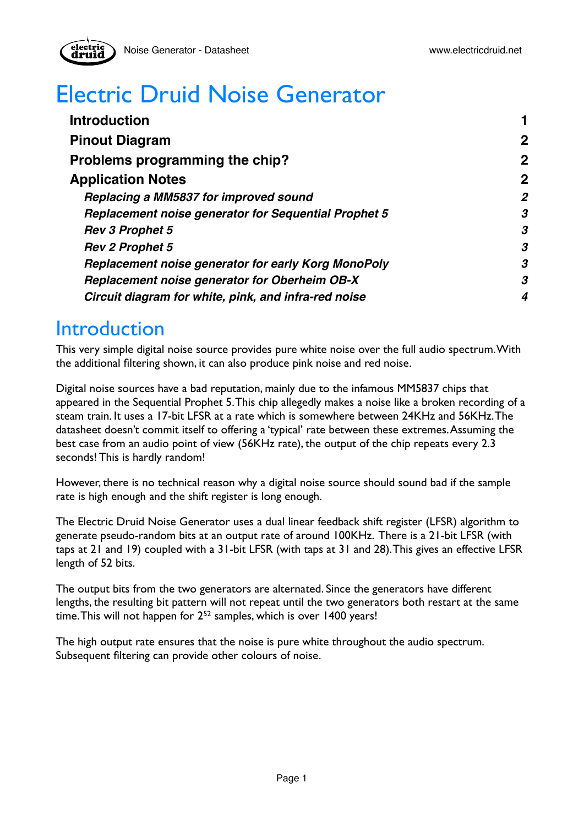

# Electric Druid Noise Generator

| <b>Introduction</b>                                         |                  |
|-------------------------------------------------------------|------------------|
| <b>Pinout Diagram</b>                                       | $\boldsymbol{2}$ |
| Problems programming the chip?                              | $\boldsymbol{2}$ |
| <b>Application Notes</b>                                    | $\boldsymbol{2}$ |
| Replacing a MM5837 for improved sound                       | $\overline{2}$   |
| <b>Replacement noise generator for Sequential Prophet 5</b> | 3                |
| <b>Rev 3 Prophet 5</b>                                      | 3                |
| <b>Rev 2 Prophet 5</b>                                      | 3                |
| Replacement noise generator for early Korg MonoPoly         | 3                |
| <b>Replacement noise generator for Oberheim OB-X</b>        | 3                |
| Circuit diagram for white, pink, and infra-red noise        | 4                |

### <span id="page-0-0"></span>**Introduction**

electri

This very simple digital noise source provides pure white noise over the full audio spectrum. With the additional filtering shown, it can also produce pink noise and red noise.

Digital noise sources have a bad reputation, mainly due to the infamous MM5837 chips that appeared in the Sequential Prophet 5. This chip allegedly makes a noise like a broken recording of a steam train. It uses a 17-bit LFSR at a rate which is somewhere between 24KHz and 56KHz. The datasheet doesn't commit itself to offering a 'typical' rate between these extremes. Assuming the best case from an audio point of view (56KHz rate), the output of the chip repeats every 2.3 seconds! This is hardly random!

However, there is no technical reason why a digital noise source should sound bad if the sample rate is high enough and the shift register is long enough.

The Electric Druid Noise Generator uses a dual linear feedback shift register (LFSR) algorithm to generate pseudo-random bits at an output rate of around 100KHz. There is a 21-bit LFSR (with taps at 21 and 19) coupled with a 31-bit LFSR (with taps at 31 and 28). This gives an effective LFSR length of 52 bits.

The output bits from the two generators are alternated. Since the generators have different lengths, the resulting bit pattern will not repeat until the two generators both restart at the same time. This will not happen for  $2^{52}$  samples, which is over 1400 years!

The high output rate ensures that the noise is pure white throughout the audio spectrum. Subsequent filtering can provide other colours of noise.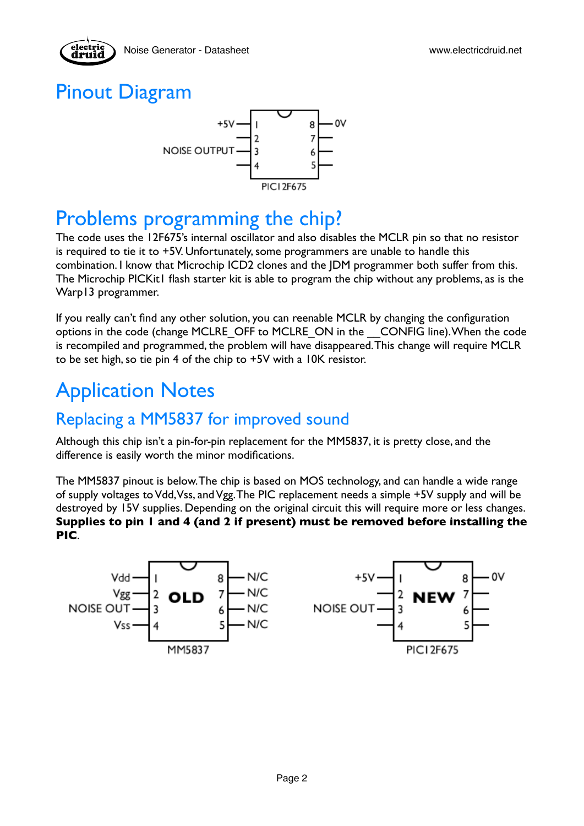

## <span id="page-1-0"></span>Pinout Diagram

electric



## <span id="page-1-1"></span>Problems programming the chip?

The code uses the 12F675's internal oscillator and also disables the MCLR pin so that no resistor is required to tie it to +5V. Unfortunately, some programmers are unable to handle this combination. I know that Microchip ICD2 clones and the JDM programmer both suffer from this. The Microchip PICKit1 flash starter kit is able to program the chip without any problems, as is the Warp13 programmer.

If you really can't find any other solution, you can reenable MCLR by changing the configuration options in the code (change MCLRE\_OFF to MCLRE\_ON in the \_\_CONFIG line). When the code is recompiled and programmed, the problem will have disappeared. This change will require MCLR to be set high, so tie pin 4 of the chip to +5V with a 10K resistor.

## <span id="page-1-2"></span>Application Notes

### <span id="page-1-3"></span>Replacing a MM5837 for improved sound

Although this chip isn't a pin-for-pin replacement for the MM5837, it is pretty close, and the difference is easily worth the minor modifications.

The MM5837 pinout is below. The chip is based on MOS technology, and can handle a wide range of supply voltages to Vdd, Vss, and Vgg. The PIC replacement needs a simple +5V supply and will be destroyed by 15V supplies. Depending on the original circuit this will require more or less changes. **Supplies to pin 1 and 4 (and 2 if present) must be removed before installing the PIC**.

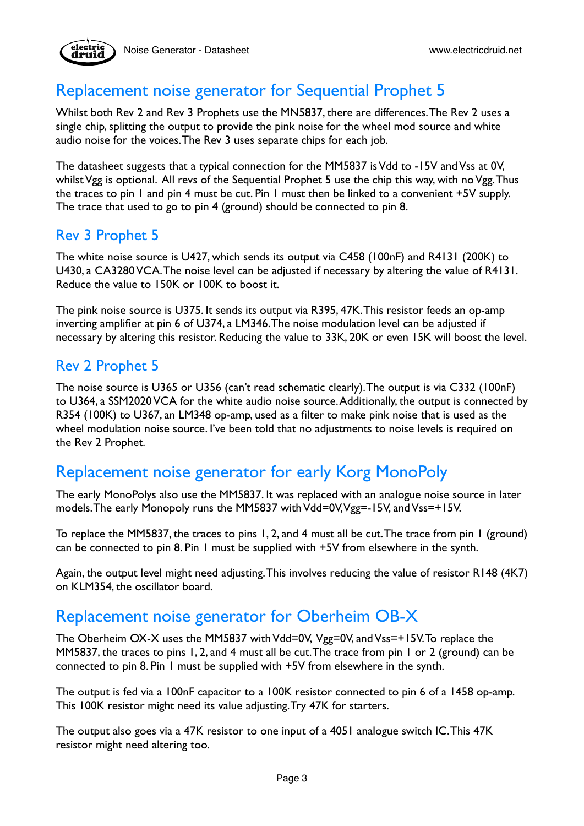### <span id="page-2-0"></span>Replacement noise generator for Sequential Prophet 5

Whilst both Rev 2 and Rev 3 Prophets use the MN5837, there are differences. The Rev 2 uses a single chip, splitting the output to provide the pink noise for the wheel mod source and white audio noise for the voices. The Rev 3 uses separate chips for each job.

The datasheet suggests that a typical connection for the MM5837 is Vdd to -15V and Vss at 0V, whilst Vgg is optional. All revs of the Sequential Prophet 5 use the chip this way, with no Vgg. Thus the traces to pin 1 and pin 4 must be cut. Pin 1 must then be linked to a convenient +5V supply. The trace that used to go to pin 4 (ground) should be connected to pin 8.

#### <span id="page-2-1"></span>Rev 3 Prophet 5

The white noise source is U427, which sends its output via C458 (100nF) and R4131 (200K) to U430, a CA3280 VCA. The noise level can be adjusted if necessary by altering the value of R4131. Reduce the value to 150K or 100K to boost it.

The pink noise source is U375. It sends its output via R395, 47K. This resistor feeds an op-amp inverting amplifier at pin 6 of U374, a LM346. The noise modulation level can be adjusted if necessary by altering this resistor. Reducing the value to 33K, 20K or even 15K will boost the level.

#### <span id="page-2-2"></span>Rev 2 Prophet 5

The noise source is U365 or U356 (can't read schematic clearly). The output is via C332 (100nF) to U364, a SSM2020 VCA for the white audio noise source. Additionally, the output is connected by R354 (100K) to U367, an LM348 op-amp, used as a filter to make pink noise that is used as the wheel modulation noise source. I've been told that no adjustments to noise levels is required on the Rev 2 Prophet.

### <span id="page-2-3"></span>Replacement noise generator for early Korg MonoPoly

The early MonoPolys also use the MM5837. It was replaced with an analogue noise source in later models. The early Monopoly runs the MM5837 with Vdd=0V, Vgg=-15V, and Vss=+15V.

To replace the MM5837, the traces to pins 1, 2, and 4 must all be cut. The trace from pin 1 (ground) can be connected to pin 8. Pin 1 must be supplied with +5V from elsewhere in the synth.

Again, the output level might need adjusting. This involves reducing the value of resistor R148 (4K7) on KLM354, the oscillator board.

#### <span id="page-2-4"></span>Replacement noise generator for Oberheim OB-X

The Oberheim OX-X uses the MM5837 with Vdd=0V, Vgg=0V, and Vss=+15V. To replace the MM5837, the traces to pins 1, 2, and 4 must all be cut. The trace from pin 1 or 2 (ground) can be connected to pin 8. Pin 1 must be supplied with +5V from elsewhere in the synth.

The output is fed via a 100nF capacitor to a 100K resistor connected to pin 6 of a 1458 op-amp. This 100K resistor might need its value adjusting. Try 47K for starters.

The output also goes via a 47K resistor to one input of a 4051 analogue switch IC. This 47K resistor might need altering too.